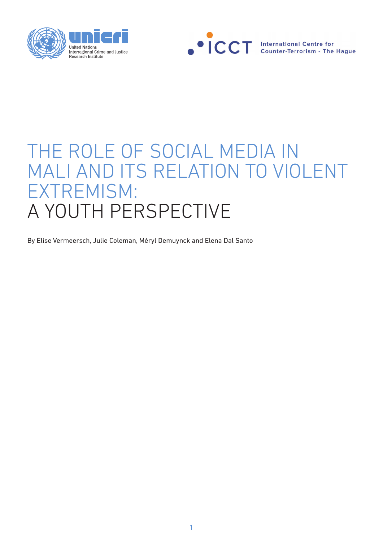



# THE ROLE OF SOCIAL MEDIA IN MALI AND ITS RELATION TO VIOLENT EXTREMISM: A YOUTH PERSPECTIVE

By Elise Vermeersch, Julie Coleman, Méryl Demuynck and Elena Dal Santo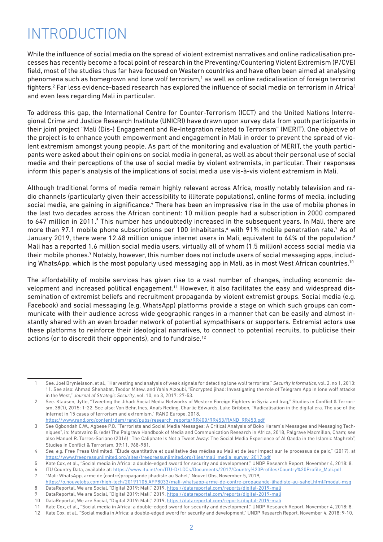## INTRODUCTION

While the influence of social media on the spread of violent extremist narratives and online radicalisation processes has recently become a focal point of research in the Preventing/Countering Violent Extremism (P/CVE) field, most of the studies thus far have focused on Western countries and have often been aimed at analysing phenomena such as homegrown and lone wolf terrorism,<sup>1</sup> as well as online radicalisation of foreign terrorist fighters. $^2$  Far less evidence-based research has explored the influence of social media on terrorism in Africa $^3$ and even less regarding Mali in particular.

To address this gap, the International Centre for Counter-Terrorism (ICCT) and the United Nations Interregional Crime and Justice Research Institute (UNICRI) have drawn upon survey data from youth participants in their joint project "Mali (Dis-) Engagement and Re-Integration related to Terrorism" (MERIT). One objective of the project is to enhance youth empowerment and engagement in Mali in order to prevent the spread of violent extremism amongst young people. As part of the monitoring and evaluation of MERIT, the youth participants were asked about their opinions on social media in general, as well as about their personal use of social media and their perceptions of the use of social media by violent extremists, in particular. Their responses inform this paper's analysis of the implications of social media use vis-à-vis violent extremism in Mali.

Although traditional forms of media remain highly relevant across Africa, mostly notably television and radio channels (particularly given their accessibility to illiterate populations), online forms of media, including social media, are gaining in significance.<sup>4</sup> There has been an impressive rise in the use of mobile phones in the last two decades across the African continent: 10 million people had a subscription in 2000 compared to 647 million in 2011.<sup>5</sup> This number has undoubtedly increased in the subsequent years. In Mali, there are more than 97.1 mobile phone subscriptions per 100 inhabitants,<sup>6</sup> with 91% mobile penetration rate.<sup>7</sup> As of January 2019, there were 12.48 million unique internet users in Mali, equivalent to 64% of the population.<sup>8</sup> Mali has a reported 1.6 million social media users, virtually all of whom (1.5 million) access social media via their mobile phones.<sup>9</sup> Notably, however, this number does not include users of social messaging apps, including WhatsApp, which is the most popularly used messaging app in Mali, as in most West African countries.<sup>10</sup>

The affordability of mobile services has given rise to a vast number of changes, including economic development and increased political engagement.<sup>11</sup> However, it also facilitates the easy and widespread dissemination of extremist beliefs and recruitment propaganda by violent extremist groups. Social media (e.g. Facebook) and social messaging (e.g. WhatsApp) platforms provide a stage on which such groups can communicate with their audience across wide geographic ranges in a manner that can be easily and almost instantly shared with an even broader network of potential sympathisers or supporters. Extremist actors use these platforms to reinforce their ideological narratives, to connect to potential recruits, to publicise their actions (or to discredit their opponents), and to fundraise.<sup>12</sup>

<sup>1</sup> See. Joel Brynielsson, et al., "Harvesting and analysis of weak signals for detecting lone wolf terrorists," *Security Informatics,* vol. 2, no 1, 2013: 11. See also: Ahmad Shehabat, Teodor Mitew, and Yahia Alzoubi, "Encrypted jihad: Investigating the role of Telegram App in lone wolf attacks in the West," *Journal of Strategic Security*, vol. 10, no 3, 2017: 27-53.

<sup>2</sup> See. Klausen, Jytte, "Tweeting the Jihad: Social Media Networks of Western Foreign Fighters in Syria and Iraq," Studies in Conflict & Terrorism, 38(1), 2015: 1-22. See also: Von Behr, Ines, Anaïs Reding, Charlie Edwards, Luke Gribbon, "Radicalisation in the digital era. The use of the internet in 15 cases of terrorism and extremism," RAND Europe, 2018, https://www.rand.org/content/dam/rand/pubs/research\_reports/RR400/RR453/RAND\_RR453.pdf

<sup>3</sup> See Ogbondah C.W., Agbese P.O. "Terrorists and Social Media Messages: A Critical Analysis of Boko Haram's Messages and Messaging Techniques", in: Mutsvairo B. (eds) The Palgrave Handbook of Media and Communication Research in Africa, 2018, Palgrave Macmillan, Cham; see also Manuel R. Torres-Soriano (2016) "The Caliphate Is Not a Tweet Away: The Social Media Experience of Al Qaeda in the Islamic Maghreb", Studies in Conflict & Terrorism, 39:11, 968-981.

<sup>4</sup> *See, e.g.* Free Press Unlimited, "Étude quantitative et qualitative des médias au Mali et de leur impact sur le processus de paix," (2017), at https://www.freepressunlimited.org/sites/freepressunlimited.org/files/mali\_media\_survey\_2017.pdf

<sup>5</sup> Kate Cox, et al., "Social media in Africa: a double-edged sword for security and development," UNDP Research Report, November 4, 2018: 8.

<sup>6</sup> ITU Country Data, available at: https://www.itu.int/en/ITU-D/LDCs/Documents/2017/Country%20Profiles/Country%20Profile\_Mali.pdf 7 "Mali: WhatsApp, arme de (contre)propagande jihadiste au Sahel," Nouvel Obs, November 5, 2019,

https://o.nouvelobs.com/high-tech/20191105.AFP8033/mali-whatsapp-arme-de-contre-propagande-jihadiste-au-sahel.html#modal-msg 8 DataReportal, We are Social, "Digital 2019: Mali," 2019, https://datareportal.com/reports/digital-2019-mali

<sup>9</sup> DataReportal, We are Social, "Digital 2019: Mali," 2019, https://datareportal.com/reports/digital-2019-mali

<sup>10</sup> DataReportal, We are Social, "Digital 2019: Mali," 2019, https://datareportal.com/reports/digital-2019-mali

<sup>11</sup> Kate Cox, et al., "Social media in Africa: a double-edged sword for security and development," UNDP Research Report, November 4, 2018: 8.

<sup>12</sup> Kate Cox, et al., "Social media in Africa: a double-edged sword for security and development," UNDP Research Report, November 4, 2018: 9-10.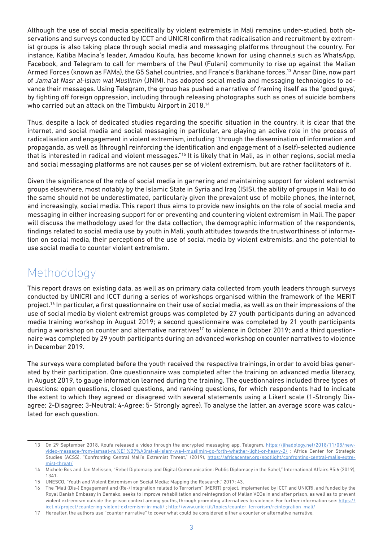Although the use of social media specifically by violent extremists in Mali remains under-studied, both observations and surveys conducted by ICCT and UNICRI confirm that radicalisation and recruitment by extremist groups is also taking place through social media and messaging platforms throughout the country. For instance, Katiba Macina's leader, Amadou Koufa, has become known for using channels such as WhatsApp, Facebook, and Telegram to call for members of the Peul (Fulani) community to rise up against the Malian Armed Forces (known as FAMa), the G5 Sahel countries, and France's Barkhane forces.13 Ansar Dine, now part of *Jama'at Nasr al-Islam wal Muslimin* (JNIM), has adopted social media and messaging technologies to advance their messages. Using Telegram, the group has pushed a narrative of framing itself as the 'good guys', by fighting off foreign oppression, including through releasing photographs such as ones of suicide bombers who carried out an attack on the Timbuktu Airport in 2018.<sup>14</sup>

Thus, despite a lack of dedicated studies regarding the specific situation in the country, it is clear that the internet, and social media and social messaging in particular, are playing an active role in the process of radicalisation and engagement in violent extremism, including "through the dissemination of information and propaganda, as well as [through] reinforcing the identification and engagement of a (self)-selected audience that is interested in radical and violent messages."<sup>15</sup> It is likely that in Mali, as in other regions, social media and social messaging platforms are not causes per se of violent extremism, but are rather facilitators of it.

Given the significance of the role of social media in garnering and maintaining support for violent extremist groups elsewhere, most notably by the Islamic State in Syria and Iraq (ISIS), the ability of groups in Mali to do the same should not be underestimated, particularly given the prevalent use of mobile phones, the internet, and increasingly, social media. This report thus aims to provide new insights on the role of social media and messaging in either increasing support for or preventing and countering violent extremism in Mali. The paper will discuss the methodology used for the data collection, the demographic information of the respondents, findings related to social media use by youth in Mali, youth attitudes towards the trustworthiness of information on social media, their perceptions of the use of social media by violent extremists, and the potential to use social media to counter violent extremism.

## Methodology

This report draws on existing data, as well as on primary data collected from youth leaders through surveys conducted by UNICRI and ICCT during a series of workshops organised within the framework of the MERIT project.16 In particular, a first questionnaire on their use of social media, as well as on their impressions of the use of social media by violent extremist groups was completed by 27 youth participants during an advanced media training workshop in August 2019; a second questionnaire was completed by 21 youth participants during a workshop on counter and alternative narratives<sup>17</sup> to violence in October 2019; and a third questionnaire was completed by 29 youth participants during an advanced workshop on counter narratives to violence in December 2019.

The surveys were completed before the youth received the respective trainings, in order to avoid bias generated by their participation. One questionnaire was completed after the training on advanced media literacy, in August 2019, to gauge information learned during the training. The questionnaires included three types of questions: open questions, closed questions, and ranking questions, for which respondents had to indicate the extent to which they agreed or disagreed with several statements using a Likert scale (1-Strongly Disagree; 2-Disagree; 3-Neutral; 4-Agree; 5- Strongly agree). To analyse the latter, an average score was calculated for each question.

<sup>13</sup> On 29 September 2018, Koufa released a video through the encrypted messaging app, Telegram. https://jihadology.net/2018/11/08/newvideo-message-from-jamaat-nu%E1%B9%A3rat-al-islam-wa-l-muslimin-go-forth-whether-light-or-heavy-2/ ; Africa Center for Strategic Studies (ACSS), "Confronting Central Mali's Extremist Threat," (2019), https://africacenter.org/spotlight/confronting-central-malis-extremist-threat/

<sup>14</sup> Michèle Bos and Jan Melissen, "Rebel Diplomacy and Digital Communication: Public Diplomacy in the Sahel," International Affairs 95:6 (2019), 1341.

<sup>15</sup> UNESCO, "Youth and Violent Extremism on Social Media: Mapping the Research," 2017: 43.

<sup>16</sup> The "Mali (Dis-) Engagement and (Re-) Integration related to Terrorism" (MERIT) project, implemented by ICCT and UNICRI, and funded by the Royal Danish Embassy in Bamako, seeks to improve rehabilitation and reintegration of Malian VEOs in and after prison, as well as to prevent violent extremism outside the prison context among youths, through promoting alternatives to violence. For further information see: https:// icct.nl/project/countering-violent-extremism-in-mali/ ; http://www.unicri.it/topics/counter\_terrorism/reintegration\_mali/

<sup>17</sup> Hereafter, the authors use "counter narrative" to cover what could be considered either a counter or alternative narrative.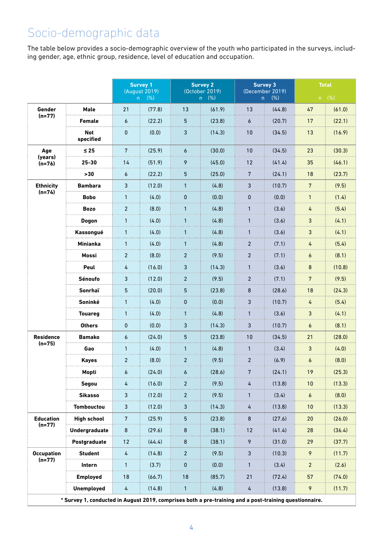## Socio-demographic data

The table below provides a socio-demographic overview of the youth who participated in the surveys, including gender, age, ethnic group, residence, level of education and occupation.

|                               |                                                                                                        | <b>Survey 1</b><br>(August 2019) |        | <b>Survey 2</b><br>(October 2019) |        | <b>Survey 3</b><br>(December 2019) |        | <b>Total</b>     |        |
|-------------------------------|--------------------------------------------------------------------------------------------------------|----------------------------------|--------|-----------------------------------|--------|------------------------------------|--------|------------------|--------|
|                               |                                                                                                        | (% )<br>n                        |        | (% )<br>n                         |        | (% )<br>n.                         |        | n (%)            |        |
| Gender<br>$(n=77)$            | <b>Male</b>                                                                                            | 21                               | (77.8) | 13                                | (61.9) | 13                                 | (44.8) | 47               | (61.0) |
|                               | <b>Female</b>                                                                                          | 6                                | (22.2) | 5 <sup>5</sup>                    | (23.8) | 6                                  | (20.7) | 17               | (22.1) |
|                               | <b>Not</b><br>specified                                                                                | $\mathbf{0}$                     | (0.0)  | 3                                 | (14.3) | 10                                 | (34.5) | 13               | (16.9) |
| Age<br>(years)<br>$(n=76)$    | $\leq 25$                                                                                              | $7\phantom{.}$                   | (25.9) | 6                                 | (30.0) | 10                                 | (34.5) | 23               | (30.3) |
|                               | $25 - 30$                                                                                              | 14                               | (51.9) | 9                                 | (45.0) | 12                                 | (41.4) | 35               | (46.1) |
|                               | >30                                                                                                    | 6                                | (22.2) | 5                                 | (25.0) | $\overline{7}$                     | (24.1) | 18               | (23.7) |
| <b>Ethnicity</b><br>$(n=74)$  | <b>Bambara</b>                                                                                         | 3                                | (12.0) | $\mathbf{1}$                      | (4.8)  | 3                                  | (10.7) | $7\overline{ }$  | (9.5)  |
|                               | <b>Bobo</b>                                                                                            | $\mathbf{1}$                     | (4.0)  | $\pmb{0}$                         | (0.0)  | 0                                  | (0.0)  | $\mathbf{1}$     | (1.4)  |
|                               | <b>Bozo</b>                                                                                            | $\overline{2}$                   | (8.0)  | $\mathbf{1}$                      | (4.8)  | $\mathbf{1}$                       | (3.6)  | $\overline{4}$   | (5.4)  |
|                               | <b>Dogon</b>                                                                                           | $\mathbf{1}$                     | (4.0)  | $\mathbf{1}$                      | (4.8)  | $\mathbf{1}$                       | (3.6)  | $\mathfrak{Z}$   | (4.1)  |
|                               | Kassongué                                                                                              | $\mathbf{1}$                     | (4.0)  | $\mathbf{1}$                      | (4.8)  | $\mathbf{1}$                       | (3.6)  | $\mathfrak{Z}$   | (4.1)  |
|                               | <b>Minianka</b>                                                                                        | $\mathbf{1}$                     | (4.0)  | $\mathbf{1}$                      | (4.8)  | $\overline{2}$                     | (7.1)  | 4                | (5.4)  |
|                               | <b>Mossi</b>                                                                                           | 2                                | (8.0)  | $2^{\circ}$                       | (9.5)  | $\overline{2}$                     | (7.1)  | 6                | (8.1)  |
|                               | Peul                                                                                                   | 4                                | (16.0) | 3                                 | (14.3) | $\mathbf{1}$                       | (3.6)  | 8                | (10.8) |
|                               | Sénoufo                                                                                                | $\mathbf{3}$                     | (12.0) | $\overline{2}$                    | (9.5)  | $\overline{2}$                     | (7.1)  | $7\overline{ }$  | (9.5)  |
|                               | Sonrhaï                                                                                                | 5                                | (20.0) | 5 <sup>5</sup>                    | (23.8) | 8                                  | (28.6) | 18               | (24.3) |
|                               | Soninké                                                                                                | $\mathbf{1}$                     | (4.0)  | $\pmb{0}$                         | (0.0)  | 3                                  | (10.7) | 4                | (5.4)  |
|                               | <b>Touareg</b>                                                                                         | $\mathbf{1}$                     | (4.0)  | $\mathbf{1}$                      | (4.8)  | $\mathbf{1}$                       | (3.6)  | 3                | (4.1)  |
|                               | <b>Others</b>                                                                                          | $\pmb{0}$                        | (0.0)  | 3                                 | (14.3) | 3                                  | (10.7) | $\boldsymbol{6}$ | (8.1)  |
| <b>Residence</b><br>$(n=75)$  | <b>Bamako</b>                                                                                          | 6                                | (24.0) | 5 <sup>5</sup>                    | (23.8) | 10                                 | (34.5) | 21               | (28.0) |
|                               | Gao                                                                                                    | $\mathbf{1}$                     | (4.0)  | $\mathbf{1}$                      | (4.8)  | $\mathbf{1}$                       | (3.4)  | $\mathfrak{Z}$   | (4.0)  |
|                               | <b>Kayes</b>                                                                                           | $\overline{c}$                   | (8.0)  | $\overline{2}$                    | (9.5)  | $\overline{2}$                     | (6.9)  | 6                | (8.0)  |
|                               | Mopti                                                                                                  | $\epsilon$                       | (24.0) | 6                                 | (28.6) | $7\phantom{.}$                     | (24.1) | 19               | (25.3) |
|                               | Segou                                                                                                  | 4                                | (16.0) | 2 <sup>1</sup>                    | (9.5)  | 4                                  | (13.8) | 10               | (13.3) |
|                               | <b>Sikasso</b>                                                                                         | 3                                | (12.0) | $\overline{2}$                    | (9.5)  | $\mathbf{1}$                       | (3.4)  | $\epsilon$       | (8.0)  |
|                               | <b>Tombouctou</b>                                                                                      | 3                                | (12.0) | $\mathbf{3}$                      | (14.3) | 4                                  | (13.8) | 10               | (13.3) |
| <b>Education</b><br>$(n=77)$  | <b>High school</b>                                                                                     | $\overline{7}$                   | (25.9) | 5 <sub>5</sub>                    | (23.8) | 8                                  | (27.6) | 20               | (26.0) |
|                               | Undergraduate                                                                                          | 8                                | (29.6) | 8                                 | (38.1) | 12                                 | (41.4) | 28               | (36.4) |
|                               | Postgraduate                                                                                           | 12                               | (44.4) | 8                                 | (38.1) | 9                                  | (31.0) | 29               | (37.7) |
| <b>Occupation</b><br>$(n=77)$ | <b>Student</b>                                                                                         | 4                                | (14.8) | $\overline{2}$                    | (9.5)  | 3                                  | (10.3) | 9                | (11.7) |
|                               | Intern                                                                                                 | $\mathbf{1}$                     | (3.7)  | $\pmb{0}$                         | (0.0)  | $\mathbf{1}$                       | (3.4)  | $2^{\circ}$      | (2.6)  |
|                               | <b>Employed</b>                                                                                        | 18                               | (66.7) | 18                                | (85.7) | 21                                 | (72.4) | 57               | (74.0) |
|                               | <b>Unemployed</b>                                                                                      | 4                                | (14.8) | $\mathbf{1}$                      | (4.8)  | 4                                  | (13.8) | 9                | (11.7) |
|                               | * Survey 1, conducted in August 2019, comprises both a pre-training and a post-training questionnaire. |                                  |        |                                   |        |                                    |        |                  |        |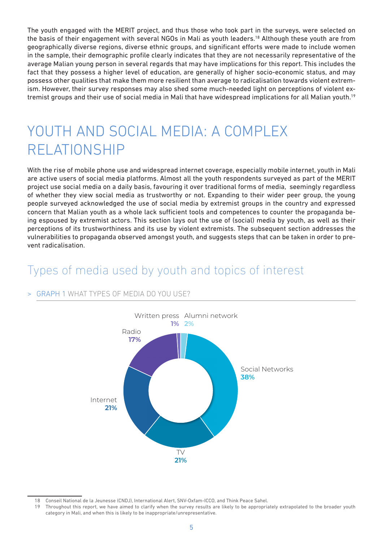The youth engaged with the MERIT project, and thus those who took part in the surveys, were selected on the basis of their engagement with several NGOs in Mali as youth leaders.<sup>18</sup> Although these youth are from geographically diverse regions, diverse ethnic groups, and significant efforts were made to include women in the sample, their demographic profile clearly indicates that they are not necessarily representative of the average Malian young person in several regards that may have implications for this report. This includes the fact that they possess a higher level of education, are generally of higher socio-economic status, and may possess other qualities that make them more resilient than average to radicalisation towards violent extremism. However, their survey responses may also shed some much-needed light on perceptions of violent extremist groups and their use of social media in Mali that have widespread implications for all Malian youth.19

# YOUTH AND SOCIAL MEDIA: A COMPLEX RELATIONSHIP

With the rise of mobile phone use and widespread internet coverage, especially mobile internet, youth in Mali are active users of social media platforms. Almost all the youth respondents surveyed as part of the MERIT project use social media on a daily basis, favouring it over traditional forms of media, seemingly regardless of whether they view social media as trustworthy or not. Expanding to their wider peer group, the young people surveyed acknowledged the use of social media by extremist groups in the country and expressed concern that Malian youth as a whole lack sufficient tools and competences to counter the propaganda being espoused by extremist actors. This section lays out the use of (social) media by youth, as well as their perceptions of its trustworthiness and its use by violent extremists. The subsequent section addresses the vulnerabilities to propaganda observed amongst youth, and suggests steps that can be taken in order to prevent radicalisation.

### Types of media used by youth and topics of interest

### **GRAPH 1 WHAT TYPES OF MEDIA DO YOU USE?**



<sup>18</sup> Conseil National de la Jeunesse (CNDJ), International Alert, SNV-Oxfam-ICCO, and Think Peace Sahel.

<sup>19</sup> Throughout this report, we have aimed to clarify when the survey results are likely to be appropriately extrapolated to the broader youth category in Mali, and when this is likely to be inappropriate/unrepresentative.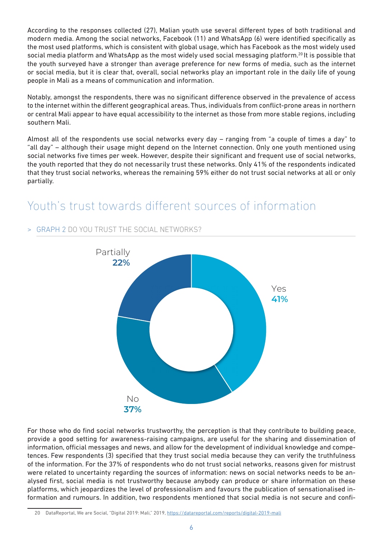According to the responses collected (27), Malian youth use several different types of both traditional and modern media. Among the social networks, Facebook (11) and WhatsApp (6) were identified specifically as the most used platforms, which is consistent with global usage, which has Facebook as the most widely used social media platform and WhatsApp as the most widely used social messaging platform.<sup>20</sup> It is possible that the youth surveyed have a stronger than average preference for new forms of media, such as the internet or social media, but it is clear that, overall, social networks play an important role in the daily life of young people in Mali as a means of communication and information.

Notably, amongst the respondents, there was no significant difference observed in the prevalence of access to the internet within the different geographical areas. Thus, individuals from conflict-prone areas in northern or central Mali appear to have equal accessibility to the internet as those from more stable regions, including southern Mali.

Almost all of the respondents use social networks every day – ranging from "a couple of times a day" to "all day" – although their usage might depend on the Internet connection. Only one youth mentioned using social networks five times per week. However, despite their significant and frequent use of social networks, the youth reported that they do not necessarily trust these networks. Only 41% of the respondents indicated that they trust social networks, whereas the remaining 59% either do not trust social networks at all or only partially.

### Youth's trust towards different sources of information



### > GRAPH 2 DO YOU TRUST THE SOCIAL NETWORKS?

For those who do find social networks trustworthy, the perception is that they contribute to building peace, provide a good setting for awareness-raising campaigns, are useful for the sharing and dissemination of information, official messages and news, and allow for the development of individual knowledge and competences. Few respondents (3) specified that they trust social media because they can verify the truthfulness of the information. For the 37% of respondents who do not trust social networks, reasons given for mistrust were related to uncertainty regarding the sources of information: news on social networks needs to be analysed first, social media is not trustworthy because anybody can produce or share information on these platforms, which jeopardizes the level of professionalism and favours the publication of sensationalised information and rumours. In addition, two respondents mentioned that social media is not secure and confi-

<sup>20</sup> DataReportal, We are Social, "Digital 2019: Mali," 2019, https://datareportal.com/reports/digital-2019-mali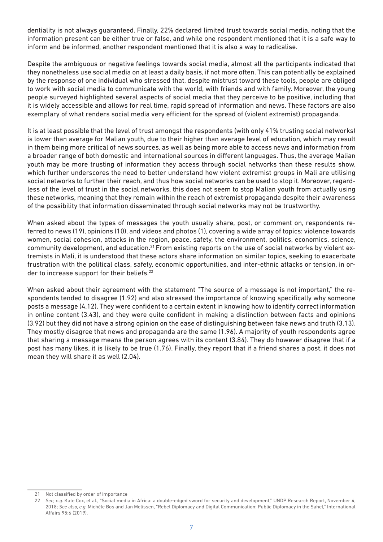dentiality is not always guaranteed. Finally, 22% declared limited trust towards social media, noting that the information present can be either true or false, and while one respondent mentioned that it is a safe way to inform and be informed, another respondent mentioned that it is also a way to radicalise.

Despite the ambiguous or negative feelings towards social media, almost all the participants indicated that they nonetheless use social media on at least a daily basis, if not more often. This can potentially be explained by the response of one individual who stressed that, despite mistrust toward these tools, people are obliged to work with social media to communicate with the world, with friends and with family. Moreover, the young people surveyed highlighted several aspects of social media that they perceive to be positive, including that it is widely accessible and allows for real time, rapid spread of information and news. These factors are also exemplary of what renders social media very efficient for the spread of (violent extremist) propaganda.

It is at least possible that the level of trust amongst the respondents (with only 41% trusting social networks) is lower than average for Malian youth, due to their higher than average level of education, which may result in them being more critical of news sources, as well as being more able to access news and information from a broader range of both domestic and international sources in different languages. Thus, the average Malian youth may be more trusting of information they access through social networks than these results show, which further underscores the need to better understand how violent extremist groups in Mali are utilising social networks to further their reach, and thus how social networks can be used to stop it. Moreover, regardless of the level of trust in the social networks, this does not seem to stop Malian youth from actually using these networks, meaning that they remain within the reach of extremist propaganda despite their awareness of the possibility that information disseminated through social networks may not be trustworthy.

When asked about the types of messages the youth usually share, post, or comment on, respondents referred to news (19), opinions (10), and videos and photos (1), covering a wide array of topics: violence towards women, social cohesion, attacks in the region, peace, safety, the environment, politics, economics, science, community development, and education.<sup>21</sup> From existing reports on the use of social networks by violent extremists in Mali, it is understood that these actors share information on similar topics, seeking to exacerbate frustration with the political class, safety, economic opportunities, and inter-ethnic attacks or tension, in order to increase support for their beliefs.<sup>22</sup>

When asked about their agreement with the statement "The source of a message is not important," the respondents tended to disagree (1.92) and also stressed the importance of knowing specifically why someone posts a message (4.12). They were confident to a certain extent in knowing how to identify correct information in online content (3.43), and they were quite confident in making a distinction between facts and opinions (3.92) but they did not have a strong opinion on the ease of distinguishing between fake news and truth (3.13). They mostly disagree that news and propaganda are the same (1.96). A majority of youth respondents agree that sharing a message means the person agrees with its content (3.84). They do however disagree that if a post has many likes, it is likely to be true (1.76). Finally, they report that if a friend shares a post, it does not mean they will share it as well (2.04).

<sup>21</sup> Not classified by order of importance

<sup>22</sup> *See, e.g.* Kate Cox, et al., "Social media in Africa: a double-edged sword for security and development," UNDP Research Report, November 4, 2018; *See also, e.g.* Michèle Bos and Jan Melissen, "Rebel Diplomacy and Digital Communication: Public Diplomacy in the Sahel," International Affairs 95:6 (2019).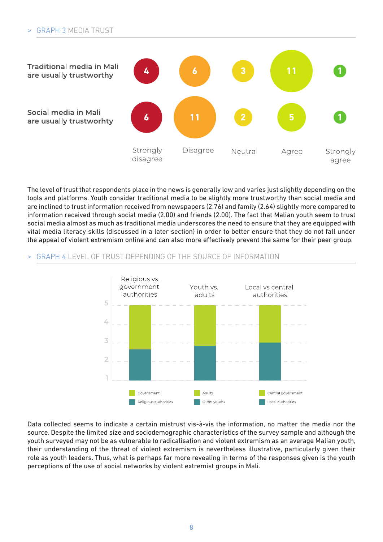

The level of trust that respondents place in the news is generally low and varies just slightly depending on the tools and platforms. Youth consider traditional media to be slightly more trustworthy than social media and are inclined to trust information received from newspapers (2.76) and family (2.64) slightly more compared to information received through social media (2.00) and friends (2.00). The fact that Malian youth seem to trust social media almost as much as traditional media underscores the need to ensure that they are equipped with vital media literacy skills (discussed in a later section) in order to better ensure that they do not fall under the appeal of violent extremism online and can also more effectively prevent the same for their peer group.

### > GRAPH 4 LEVEL OF TRUST DEPENDING OF THE SOURCE OF INFORMATION



Data collected seems to indicate a certain mistrust vis-à-vis the information, no matter the media nor the source. Despite the limited size and sociodemographic characteristics of the survey sample and although the youth surveyed may not be as vulnerable to radicalisation and violent extremism as an average Malian youth, their understanding of the threat of violent extremism is nevertheless illustrative, particularly given their role as youth leaders. Thus, what is perhaps far more revealing in terms of the responses given is the youth perceptions of the use of social networks by violent extremist groups in Mali.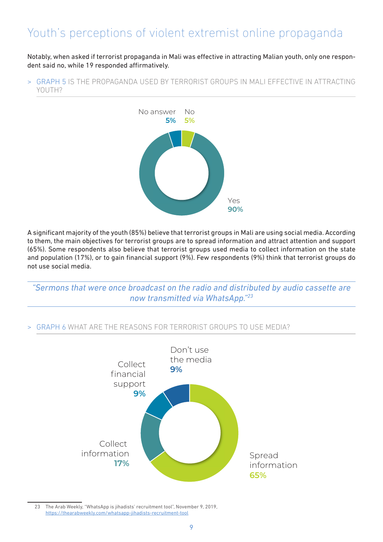## Youth's perceptions of violent extremist online propaganda

Notably, when asked if terrorist propaganda in Mali was effective in attracting Malian youth, only one respondent said no, while 19 responded affirmatively.

> GRAPH 5 IS THE PROPAGANDA USED BY TERRORIST GROUPS IN MALI EFFECTIVE IN ATTRACTING YOUTH<sub>2</sub>



A significant majority of the youth (85%) believe that terrorist groups in Mali are using social media. According to them, the main objectives for terrorist groups are to spread information and attract attention and support (65%). Some respondents also believe that terrorist groups used media to collect information on the state and population (17%), or to gain financial support (9%). Few respondents (9%) think that terrorist groups do not use social media.

*"Sermons that were once broadcast on the radio and distributed by audio cassette are now transmitted via WhatsApp."23*

### > GRAPH 6 WHAT ARE THE REASONS FOR TERRORIST GROUPS TO USE MEDIA?



23 The Arab Weekly, "WhatsApp is jihadists' recruitment tool", November 9, 2019, https://thearabweekly.com/whatsapp-jihadists-recruitment-tool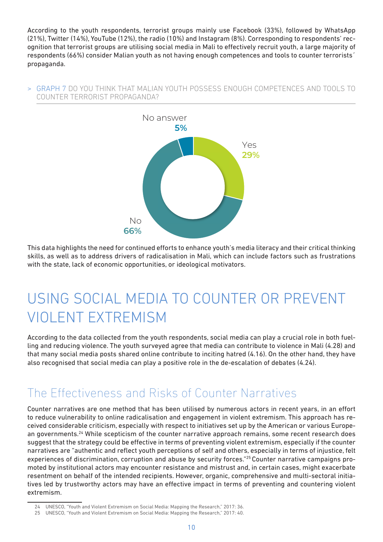According to the youth respondents, terrorist groups mainly use Facebook (33%), followed by WhatsApp (21%), Twitter (14%), YouTube (12%), the radio (10%) and Instagram (8%). Corresponding to respondents' recognition that terrorist groups are utilising social media in Mali to effectively recruit youth, a large majority of respondents (66%) consider Malian youth as not having enough competences and tools to counter terrorists´ propaganda.

#### > GRAPH 7 DO YOU THINK THAT MALIAN YOUTH POSSESS ENOUGH COMPETENCES AND TOOLS TO COUNTER TERRORIST PROPAGANDA?



This data highlights the need for continued efforts to enhance youth's media literacy and their critical thinking skills, as well as to address drivers of radicalisation in Mali, which can include factors such as frustrations with the state, lack of economic opportunities, or ideological motivators.

# USING SOCIAL MEDIA TO COUNTER OR PREVENT VIOLENT EXTREMISM

According to the data collected from the youth respondents, social media can play a crucial role in both fuelling and reducing violence. The youth surveyed agree that media can contribute to violence in Mali (4.28) and that many social media posts shared online contribute to inciting hatred (4.16). On the other hand, they have also recognised that social media can play a positive role in the de-escalation of debates (4.24).

### The Effectiveness and Risks of Counter Narratives

Counter narratives are one method that has been utilised by numerous actors in recent years, in an effort to reduce vulnerability to online radicalisation and engagement in violent extremism. This approach has received considerable criticism, especially with respect to initiatives set up by the American or various European governments.<sup>24</sup> While scepticism of the counter narrative approach remains, some recent research does suggest that the strategy could be effective in terms of preventing violent extremism, especially if the counter narratives are "authentic and reflect youth perceptions of self and others, especially in terms of injustice, felt experiences of discrimination, corruption and abuse by security forces."25 Counter narrative campaigns promoted by institutional actors may encounter resistance and mistrust and, in certain cases, might exacerbate resentment on behalf of the intended recipients. However, organic, comprehensive and multi-sectoral initiatives led by trustworthy actors may have an effective impact in terms of preventing and countering violent extremism.

<sup>24</sup> UNESCO, "Youth and Violent Extremism on Social Media: Mapping the Research," 2017: 36.

<sup>25</sup> UNESCO, "Youth and Violent Extremism on Social Media: Mapping the Research," 2017: 40.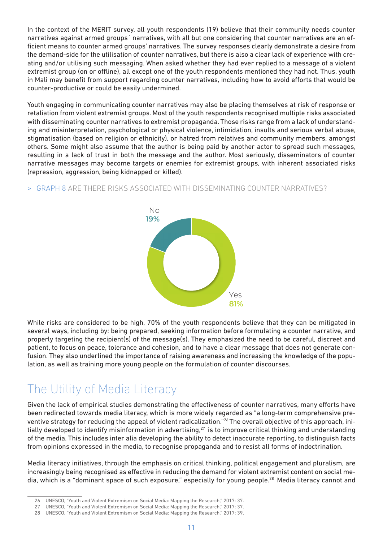In the context of the MERIT survey, all youth respondents (19) believe that their community needs counter narratives against armed groups´ narratives, with all but one considering that counter narratives are an efficient means to counter armed groups' narratives. The survey responses clearly demonstrate a desire from the demand-side for the utilisation of counter narratives, but there is also a clear lack of experience with creating and/or utilising such messaging. When asked whether they had ever replied to a message of a violent extremist group (on or offline), all except one of the youth respondents mentioned they had not. Thus, youth in Mali may benefit from support regarding counter narratives, including how to avoid efforts that would be counter-productive or could be easily undermined.

Youth engaging in communicating counter narratives may also be placing themselves at risk of response or retaliation from violent extremist groups. Most of the youth respondents recognised multiple risks associated with disseminating counter narratives to extremist propaganda. Those risks range from a lack of understanding and misinterpretation, psychological or physical violence, intimidation, insults and serious verbal abuse, stigmatisation (based on religion or ethnicity), or hatred from relatives and community members, amongst others. Some might also assume that the author is being paid by another actor to spread such messages, resulting in a lack of trust in both the message and the author. Most seriously, disseminators of counter narrative messages may become targets or enemies for extremist groups, with inherent associated risks (repression, aggression, being kidnapped or killed).

#### > GRAPH 8 ARE THERE RISKS ASSOCIATED WITH DISSEMINATING COUNTER NARRATIVES?



While risks are considered to be high, 70% of the youth respondents believe that they can be mitigated in several ways, including by: being prepared, seeking information before formulating a counter narrative, and properly targeting the recipient(s) of the message(s). They emphasized the need to be careful, discreet and patient, to focus on peace, tolerance and cohesion, and to have a clear message that does not generate confusion. They also underlined the importance of raising awareness and increasing the knowledge of the population, as well as training more young people on the formulation of counter discourses.

## The Utility of Media Literacy

Given the lack of empirical studies demonstrating the effectiveness of counter narratives, many efforts have been redirected towards media literacy, which is more widely regarded as "a long-term comprehensive preventive strategy for reducing the appeal of violent radicalization."26 The overall objective of this approach, initially developed to identify misinformation in advertising,<sup>27</sup> is to improve critical thinking and understanding of the media. This includes inter alia developing the ability to detect inaccurate reporting, to distinguish facts from opinions expressed in the media, to recognise propaganda and to resist all forms of indoctrination.

Media literacy initiatives, through the emphasis on critical thinking, political engagement and pluralism, are increasingly being recognised as effective in reducing the demand for violent extremist content on social media, which is a "dominant space of such exposure," especially for young people.<sup>28</sup> Media literacy cannot and

<sup>26</sup> UNESCO, "Youth and Violent Extremism on Social Media: Mapping the Research," 2017: 37.

<sup>27</sup> UNESCO, "Youth and Violent Extremism on Social Media: Mapping the Research," 2017: 37.

<sup>28</sup> UNESCO, "Youth and Violent Extremism on Social Media: Mapping the Research," 2017: 39.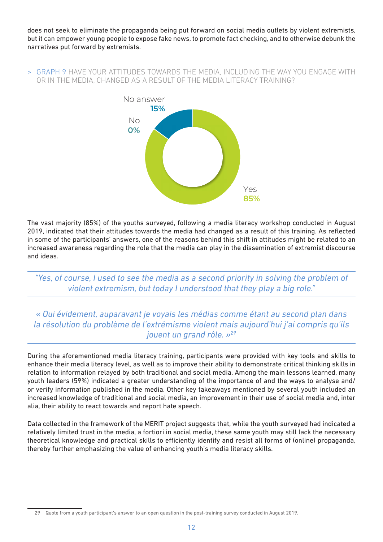does not seek to eliminate the propaganda being put forward on social media outlets by violent extremists, but it can empower young people to expose fake news, to promote fact checking, and to otherwise debunk the narratives put forward by extremists.

#### > GRAPH 9 HAVE YOUR ATTITUDES TOWARDS THE MEDIA, INCLUDING THE WAY YOU ENGAGE WITH OR IN THE MEDIA, CHANGED AS A RESULT OF THE MEDIA LITERACY TRAINING?



The vast majority (85%) of the youths surveyed, following a media literacy workshop conducted in August 2019, indicated that their attitudes towards the media had changed as a result of this training. As reflected in some of the participants' answers, one of the reasons behind this shift in attitudes might be related to an increased awareness regarding the role that the media can play in the dissemination of extremist discourse and ideas.

*"Yes, of course, I used to see the media as a second priority in solving the problem of violent extremism, but today I understood that they play a big role."*

*« Oui évidement, auparavant je voyais les médias comme étant au second plan dans la résolution du problème de l'extrémisme violent mais aujourd'hui j'ai compris qu'ils jouent un grand rôle. »29*

During the aforementioned media literacy training, participants were provided with key tools and skills to enhance their media literacy level, as well as to improve their ability to demonstrate critical thinking skills in relation to information relayed by both traditional and social media. Among the main lessons learned, many youth leaders (59%) indicated a greater understanding of the importance of and the ways to analyse and/ or verify information published in the media. Other key takeaways mentioned by several youth included an increased knowledge of traditional and social media, an improvement in their use of social media and, inter alia, their ability to react towards and report hate speech.

Data collected in the framework of the MERIT project suggests that, while the youth surveyed had indicated a relatively limited trust in the media, a fortiori in social media, these same youth may still lack the necessary theoretical knowledge and practical skills to efficiently identify and resist all forms of (online) propaganda, thereby further emphasizing the value of enhancing youth's media literacy skills.

<sup>29</sup> Quote from a youth participant's answer to an open question in the post-training survey conducted in August 2019.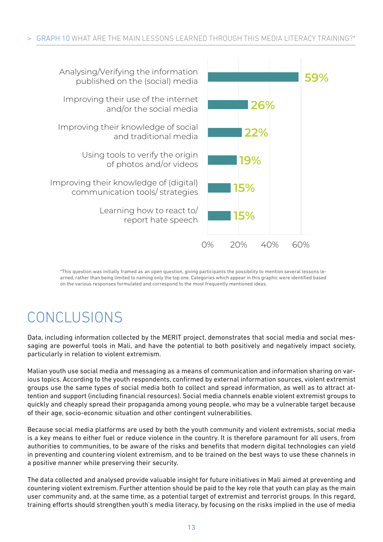

\*This question was initially framed as an open question, giving participants the possibility to mention several lessons learned, rather than being limited to naming only the top one. Categories which appear in this graphic were identified based on the various responses formulated and correspond to the most frequently mentioned ideas.

# CONCLUSIONS

Data, including information collected by the MERIT project, demonstrates that social media and social messaging are powerful tools in Mali, and have the potential to both positively and negatively impact society, particularly in relation to violent extremism.

Malian youth use social media and messaging as a means of communication and information sharing on various topics. According to the youth respondents, confirmed by external information sources, violent extremist groups use the same types of social media both to collect and spread information, as well as to attract attention and support (including financial resources). Social media channels enable violent extremist groups to quickly and cheaply spread their propaganda among young people, who may be a vulnerable target because of their age, socio-economic situation and other contingent vulnerabilities.

Because social media platforms are used by both the youth community and violent extremists, social media is a key means to either fuel or reduce violence in the country. It is therefore paramount for all users, from authorities to communities, to be aware of the risks and benefits that modern digital technologies can yield in preventing and countering violent extremism, and to be trained on the best ways to use these channels in a positive manner while preserving their security.

The data collected and analysed provide valuable insight for future initiatives in Mali aimed at preventing and countering violent extremism. Further attention should be paid to the key role that youth can play as the main user community and, at the same time, as a potential target of extremist and terrorist groups. In this regard, training efforts should strengthen youth's media literacy, by focusing on the risks implied in the use of media